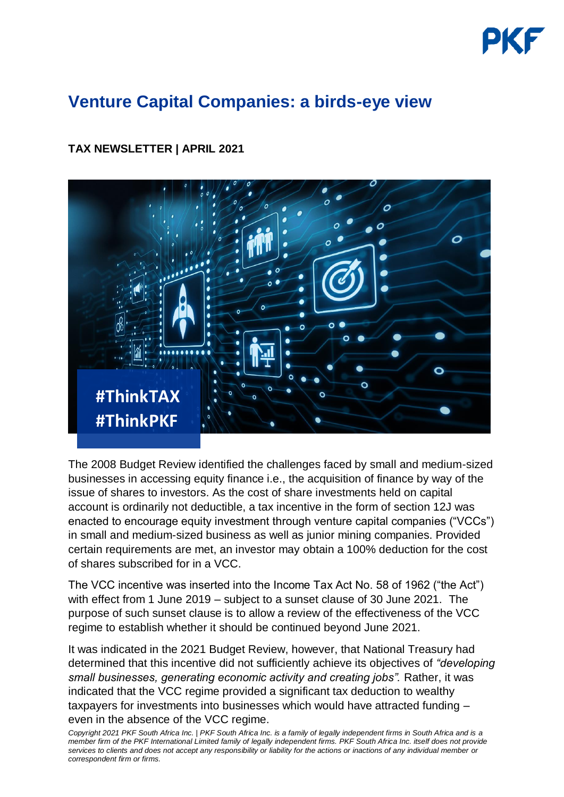# **Venture Capital Companies: a birds-eye view**

### **TAX NEWSLETTER | APRIL 2021**



The 2008 Budget Review identified the challenges faced by small and medium-sized businesses in accessing equity finance i.e., the acquisition of finance by way of the issue of shares to investors. As the cost of share investments held on capital account is ordinarily not deductible, a tax incentive in the form of section 12J was enacted to encourage equity investment through venture capital companies ("VCCs") in small and medium-sized business as well as junior mining companies. Provided certain requirements are met, an investor may obtain a 100% deduction for the cost of shares subscribed for in a VCC.

The VCC incentive was inserted into the Income Tax Act No. 58 of 1962 ("the Act") with effect from 1 June 2019 – subject to a sunset clause of 30 June 2021. The purpose of such sunset clause is to allow a review of the effectiveness of the VCC regime to establish whether it should be continued beyond June 2021.

It was indicated in the 2021 Budget Review, however, that National Treasury had determined that this incentive did not sufficiently achieve its objectives of *"developing small businesses, generating economic activity and creating jobs".* Rather, it was indicated that the VCC regime provided a significant tax deduction to wealthy taxpayers for investments into businesses which would have attracted funding – even in the absence of the VCC regime.

*Copyright 2021 PKF South Africa Inc. | PKF South Africa Inc. is a family of legally independent firms in South Africa and is a member firm of the [PKF International Limited](https://www.pkf.com/) family of legally independent firms. PKF South Africa Inc. itself does not provide services to clients and does not accept any responsibility or liability for the actions or inactions of any individual member or correspondent firm or firms.*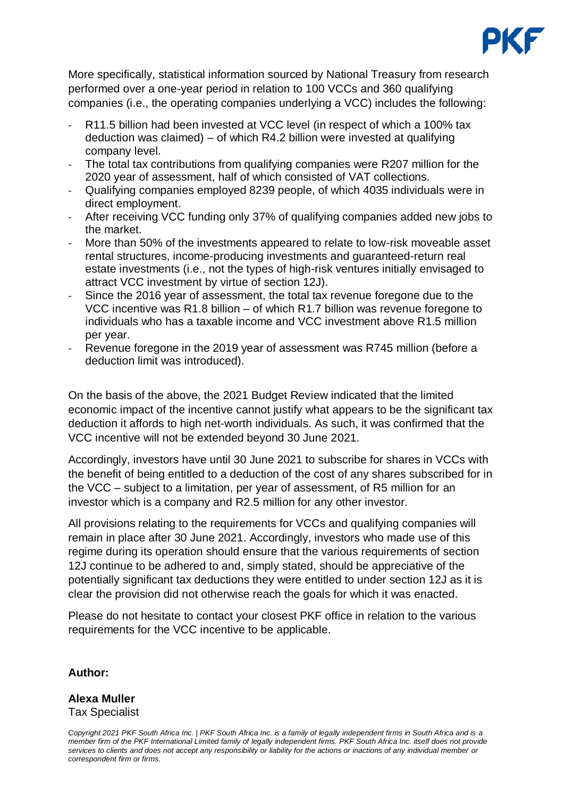

More specifically, statistical information sourced by National Treasury from research performed over a one-year period in relation to 100 VCCs and 360 qualifying companies (i.e., the operating companies underlying a VCC) includes the following:

- R11.5 billion had been invested at VCC level (in respect of which a 100% tax deduction was claimed) – of which R4.2 billion were invested at qualifying company level.
- The total tax contributions from qualifying companies were R207 million for the 2020 year of assessment, half of which consisted of VAT collections.
- Qualifying companies employed 8239 people, of which 4035 individuals were in direct employment.
- After receiving VCC funding only 37% of qualifying companies added new jobs to the market.
- More than 50% of the investments appeared to relate to low-risk moveable asset rental structures, income-producing investments and guaranteed-return real estate investments (i.e., not the types of high-risk ventures initially envisaged to attract VCC investment by virtue of section 12J).
- Since the 2016 year of assessment, the total tax revenue foregone due to the VCC incentive was R1.8 billion – of which R1.7 billion was revenue foregone to individuals who has a taxable income and VCC investment above R1.5 million per year.
- Revenue foregone in the 2019 year of assessment was R745 million (before a deduction limit was introduced).

On the basis of the above, the 2021 Budget Review indicated that the limited economic impact of the incentive cannot justify what appears to be the significant tax deduction it affords to high net-worth individuals. As such, it was confirmed that the VCC incentive will not be extended beyond 30 June 2021.

Accordingly, investors have until 30 June 2021 to subscribe for shares in VCCs with the benefit of being entitled to a deduction of the cost of any shares subscribed for in the VCC – subject to a limitation, per year of assessment, of R5 million for an investor which is a company and R2.5 million for any other investor.

All provisions relating to the requirements for VCCs and qualifying companies will remain in place after 30 June 2021. Accordingly, investors who made use of this regime during its operation should ensure that the various requirements of section 12J continue to be adhered to and, simply stated, should be appreciative of the potentially significant tax deductions they were entitled to under section 12J as it is clear the provision did not otherwise reach the goals for which it was enacted.

Please do not hesitate to contact your closest PKF office in relation to the various requirements for the VCC incentive to be applicable.

#### **Author:**

## **Alexa Muller**

Tax Specialist

*Copyright 2021 PKF South Africa Inc. | PKF South Africa Inc. is a family of legally independent firms in South Africa and is a member firm of the [PKF International Limited](https://www.pkf.com/) family of legally independent firms. PKF South Africa Inc. itself does not provide services to clients and does not accept any responsibility or liability for the actions or inactions of any individual member or correspondent firm or firms.*